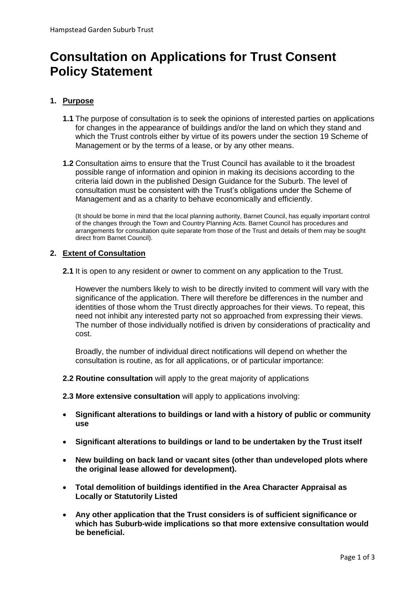# **Consultation on Applications for Trust Consent Policy Statement**

# **1. Purpose**

- **1.1** The purpose of consultation is to seek the opinions of interested parties on applications for changes in the appearance of buildings and/or the land on which they stand and which the Trust controls either by virtue of its powers under the section 19 Scheme of Management or by the terms of a lease, or by any other means.
- **1.2** Consultation aims to ensure that the Trust Council has available to it the broadest possible range of information and opinion in making its decisions according to the criteria laid down in the published Design Guidance for the Suburb. The level of consultation must be consistent with the Trust's obligations under the Scheme of Management and as a charity to behave economically and efficiently.

(It should be borne in mind that the local planning authority, Barnet Council, has equally important control of the changes through the Town and Country Planning Acts. Barnet Council has procedures and arrangements for consultation quite separate from those of the Trust and details of them may be sought direct from Barnet Council).

# **2. Extent of Consultation**

**2.1** It is open to any resident or owner to comment on any application to the Trust.

However the numbers likely to wish to be directly invited to comment will vary with the significance of the application. There will therefore be differences in the number and identities of those whom the Trust directly approaches for their views. To repeat, this need not inhibit any interested party not so approached from expressing their views. The number of those individually notified is driven by considerations of practicality and cost.

Broadly, the number of individual direct notifications will depend on whether the consultation is routine, as for all applications, or of particular importance:

**2.2 Routine consultation** will apply to the great majority of applications

**2.3 More extensive consultation** will apply to applications involving:

- **Significant alterations to buildings or land with a history of public or community use**
- **Significant alterations to buildings or land to be undertaken by the Trust itself**
- **New building on back land or vacant sites (other than undeveloped plots where the original lease allowed for development).**
- **Total demolition of buildings identified in the Area Character Appraisal as Locally or Statutorily Listed**
- **Any other application that the Trust considers is of sufficient significance or which has Suburb-wide implications so that more extensive consultation would be beneficial.**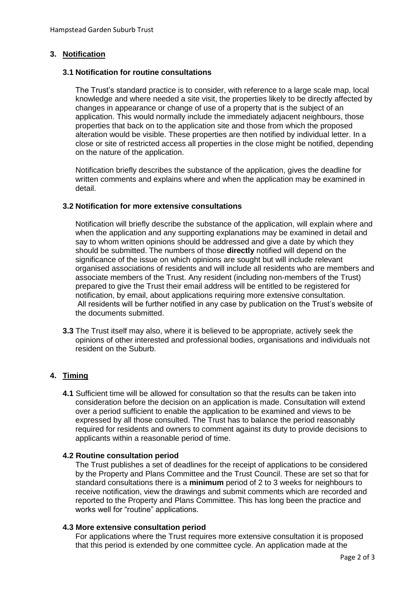# **3. Notification**

## **3.1 Notification for routine consultations**

The Trust's standard practice is to consider, with reference to a large scale map, local knowledge and where needed a site visit, the properties likely to be directly affected by changes in appearance or change of use of a property that is the subject of an application. This would normally include the immediately adjacent neighbours, those properties that back on to the application site and those from which the proposed alteration would be visible. These properties are then notified by individual letter. In a close or site of restricted access all properties in the close might be notified, depending on the nature of the application.

Notification briefly describes the substance of the application, gives the deadline for written comments and explains where and when the application may be examined in detail.

## **3.2 Notification for more extensive consultations**

Notification will briefly describe the substance of the application, will explain where and when the application and any supporting explanations may be examined in detail and say to whom written opinions should be addressed and give a date by which they should be submitted. The numbers of those **directly** notified will depend on the significance of the issue on which opinions are sought but will include relevant organised associations of residents and will include all residents who are members and associate members of the Trust. Any resident (including non-members of the Trust) prepared to give the Trust their email address will be entitled to be registered for notification, by email, about applications requiring more extensive consultation. All residents will be further notified in any case by publication on the Trust's website of the documents submitted.

**3.3** The Trust itself may also, where it is believed to be appropriate, actively seek the opinions of other interested and professional bodies, organisations and individuals not resident on the Suburb.

## **4. Timing**

**4.1** Sufficient time will be allowed for consultation so that the results can be taken into consideration before the decision on an application is made. Consultation will extend over a period sufficient to enable the application to be examined and views to be expressed by all those consulted. The Trust has to balance the period reasonably required for residents and owners to comment against its duty to provide decisions to applicants within a reasonable period of time.

#### **4.2 Routine consultation period**

The Trust publishes a set of deadlines for the receipt of applications to be considered by the Property and Plans Committee and the Trust Council. These are set so that for standard consultations there is a **minimum** period of 2 to 3 weeks for neighbours to receive notification, view the drawings and submit comments which are recorded and reported to the Property and Plans Committee. This has long been the practice and works well for "routine" applications.

#### **4.3 More extensive consultation period**

For applications where the Trust requires more extensive consultation it is proposed that this period is extended by one committee cycle. An application made at the